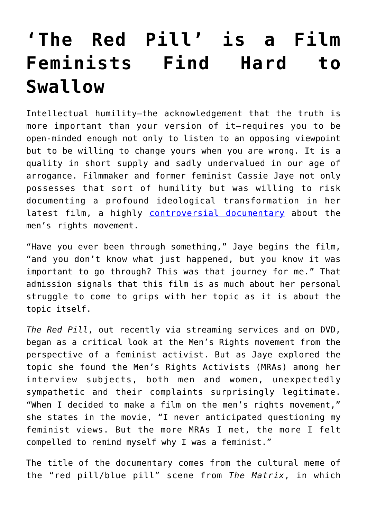## **['The Red Pill' is a Film](https://intellectualtakeout.org/2017/04/the-red-pill-is-a-film-feminists-find-hard-to-swallow/) [Feminists Find Hard to](https://intellectualtakeout.org/2017/04/the-red-pill-is-a-film-feminists-find-hard-to-swallow/) [Swallow](https://intellectualtakeout.org/2017/04/the-red-pill-is-a-film-feminists-find-hard-to-swallow/)**

Intellectual humility—the acknowledgement that the truth is more important than your version of it—requires you to be open-minded enough not only to listen to an opposing viewpoint but to be willing to change yours when you are wrong. It is a quality in short supply and sadly undervalued in our age of arrogance. Filmmaker and former feminist Cassie Jaye not only possesses that sort of humility but was willing to risk documenting a profound ideological transformation in her latest film, a highly [controversial documentary](http://theredpillmovie.com/) about the men's rights movement.

"Have you ever been through something," Jaye begins the film, "and you don't know what just happened, but you know it was important to go through? This was that journey for me." That admission signals that this film is as much about her personal struggle to come to grips with her topic as it is about the topic itself.

*The Red Pill*, out recently via streaming services and on DVD, began as a critical look at the Men's Rights movement from the perspective of a feminist activist. But as Jaye explored the topic she found the Men's Rights Activists (MRAs) among her interview subjects, both men and women, unexpectedly sympathetic and their complaints surprisingly legitimate. "When I decided to make a film on the men's rights movement," she states in the movie, "I never anticipated questioning my feminist views. But the more MRAs I met, the more I felt compelled to remind myself why I was a feminist."

The title of the documentary comes from the cultural meme of the "red pill/blue pill" scene from *The Matrix*, in which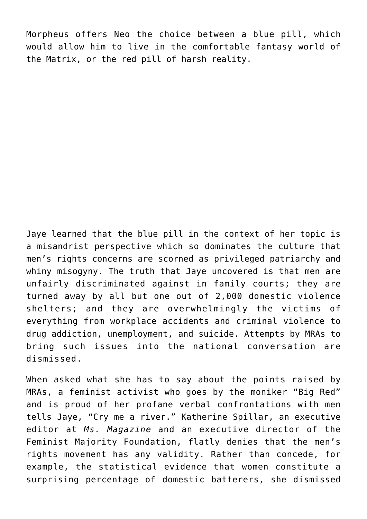Morpheus offers Neo the choice between a blue pill, which would allow him to live in the comfortable fantasy world of the Matrix, or the red pill of harsh reality.

Jaye learned that the blue pill in the context of her topic is a misandrist perspective which so dominates the culture that men's rights concerns are scorned as privileged patriarchy and whiny misogyny. The truth that Jaye uncovered is that men are unfairly discriminated against in family courts; they are turned away by all but one out of 2,000 domestic violence shelters; and they are overwhelmingly the victims of everything from workplace accidents and criminal violence to drug addiction, unemployment, and suicide. Attempts by MRAs to bring such issues into the national conversation are dismissed.

When asked what she has to say about the points raised by MRAs, a feminist activist who goes by the moniker "Big Red" and is proud of her profane verbal confrontations with men tells Jaye, "Cry me a river." Katherine Spillar, an executive editor at *Ms. Magazine* and an executive director of the Feminist Majority Foundation, flatly denies that the men's rights movement has any validity. Rather than concede, for example, the statistical evidence that women constitute a surprising percentage of domestic batterers, she dismissed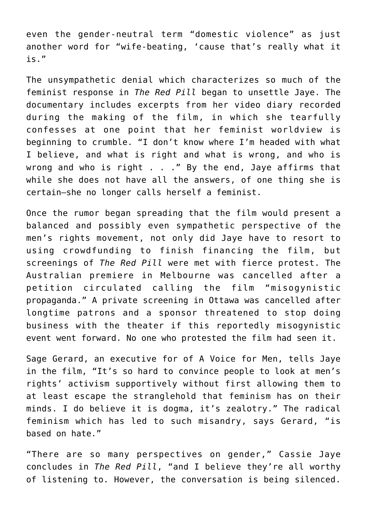even the gender-neutral term "domestic violence" as just another word for "wife-beating, 'cause that's really what it is."

The unsympathetic denial which characterizes so much of the feminist response in *The Red Pill* began to unsettle Jaye. The documentary includes excerpts from her video diary recorded during the making of the film, in which she tearfully confesses at one point that her feminist worldview is beginning to crumble. "I don't know where I'm headed with what I believe, and what is right and what is wrong, and who is wrong and who is right . . ." By the end, Jaye affirms that while she does not have all the answers, of one thing she is certain—she no longer calls herself a feminist.

Once the rumor began spreading that the film would present a balanced and possibly even sympathetic perspective of the men's rights movement, not only did Jaye have to resort to using crowdfunding to finish financing the film, but screenings of *The Red Pill* were met with fierce protest. The Australian premiere in Melbourne was cancelled after a petition circulated calling the film "misogynistic propaganda." A private screening in Ottawa was cancelled after longtime patrons and a sponsor threatened to stop doing business with the theater if this reportedly misogynistic event went forward. No one who protested the film had seen it.

Sage Gerard, an executive for of A Voice for Men, tells Jaye in the film, "It's so hard to convince people to look at men's rights' activism supportively without first allowing them to at least escape the stranglehold that feminism has on their minds. I do believe it is dogma, it's zealotry." The radical feminism which has led to such misandry, says Gerard, "is based on hate."

"There are so many perspectives on gender," Cassie Jaye concludes in *The Red Pill*, "and I believe they're all worthy of listening to. However, the conversation is being silenced.